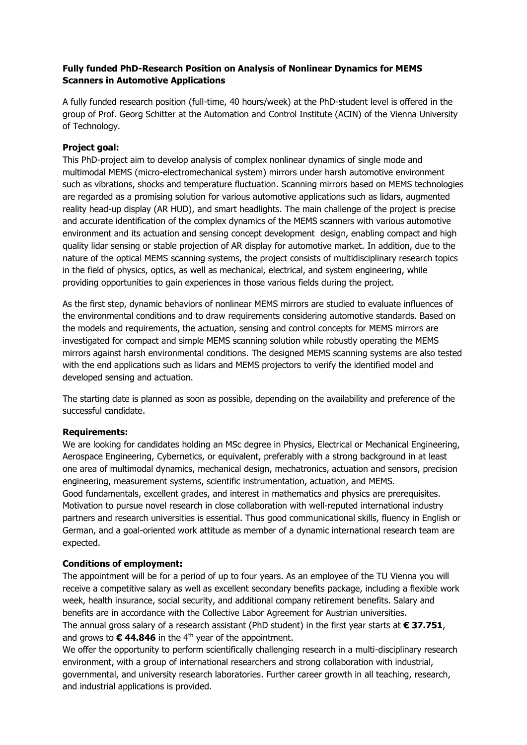## **Fully funded PhD-Research Position on Analysis of Nonlinear Dynamics for MEMS Scanners in Automotive Applications**

A fully funded research position (full-time, 40 hours/week) at the PhD-student level is offered in the group of Prof. Georg Schitter at the Automation and Control Institute (ACIN) of the Vienna University of Technology.

## **Project goal:**

This PhD-project aim to develop analysis of complex nonlinear dynamics of single mode and multimodal MEMS (micro-electromechanical system) mirrors under harsh automotive environment such as vibrations, shocks and temperature fluctuation. Scanning mirrors based on MEMS technologies are regarded as a promising solution for various automotive applications such as lidars, augmented reality head-up display (AR HUD), and smart headlights. The main challenge of the project is precise and accurate identification of the complex dynamics of the MEMS scanners with various automotive environment and its actuation and sensing concept development design, enabling compact and high quality lidar sensing or stable projection of AR display for automotive market. In addition, due to the nature of the optical MEMS scanning systems, the project consists of multidisciplinary research topics in the field of physics, optics, as well as mechanical, electrical, and system engineering, while providing opportunities to gain experiences in those various fields during the project.

As the first step, dynamic behaviors of nonlinear MEMS mirrors are studied to evaluate influences of the environmental conditions and to draw requirements considering automotive standards. Based on the models and requirements, the actuation, sensing and control concepts for MEMS mirrors are investigated for compact and simple MEMS scanning solution while robustly operating the MEMS mirrors against harsh environmental conditions. The designed MEMS scanning systems are also tested with the end applications such as lidars and MEMS projectors to verify the identified model and developed sensing and actuation.

The starting date is planned as soon as possible, depending on the availability and preference of the successful candidate.

## **Requirements:**

We are looking for candidates holding an MSc degree in Physics, Electrical or Mechanical Engineering, Aerospace Engineering, Cybernetics, or equivalent, preferably with a strong background in at least one area of multimodal dynamics, mechanical design, mechatronics, actuation and sensors, precision engineering, measurement systems, scientific instrumentation, actuation, and MEMS. Good fundamentals, excellent grades, and interest in mathematics and physics are prerequisites. Motivation to pursue novel research in close collaboration with well-reputed international industry partners and research universities is essential. Thus good communicational skills, fluency in English or German, and a goal-oriented work attitude as member of a dynamic international research team are expected.

## **Conditions of employment:**

The appointment will be for a period of up to four years. As an employee of the TU Vienna you will receive a competitive salary as well as excellent secondary benefits package, including a flexible work week, health insurance, social security, and additional company retirement benefits. Salary and benefits are in accordance with the Collective Labor Agreement for Austrian universities. The annual gross salary of a research assistant (PhD student) in the first year starts at **€ 37.751**, and grows to  $\epsilon$  44.846 in the 4<sup>th</sup> year of the appointment.

We offer the opportunity to perform scientifically challenging research in a multi-disciplinary research environment, with a group of international researchers and strong collaboration with industrial, governmental, and university research laboratories. Further career growth in all teaching, research, and industrial applications is provided.